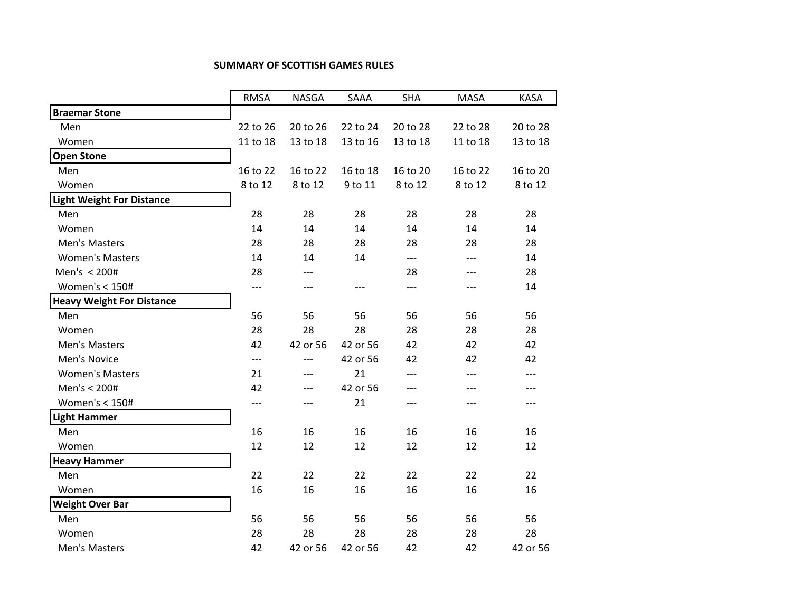## **SUMMARY OF SCOTTISH GAMES RULES**

|                                  | <b>RMSA</b> | <b>NASGA</b> | SAAA     | <b>SHA</b> | <b>MASA</b> | <b>KASA</b> |
|----------------------------------|-------------|--------------|----------|------------|-------------|-------------|
| <b>Braemar Stone</b>             |             |              |          |            |             |             |
| Men                              | 22 to 26    | 20 to 26     | 22 to 24 | 20 to 28   | 22 to 28    | 20 to 28    |
| Women                            | 11 to 18    | 13 to 18     | 13 to 16 | 13 to 18   | 11 to 18    | 13 to 18    |
| <b>Open Stone</b>                |             |              |          |            |             |             |
| Men                              | 16 to 22    | 16 to 22     | 16 to 18 | 16 to 20   | 16 to 22    | 16 to 20    |
| Women                            | 8 to 12     | 8 to 12      | 9 to 11  | 8 to 12    | 8 to 12     | 8 to 12     |
| <b>Light Weight For Distance</b> |             |              |          |            |             |             |
| Men                              | 28          | 28           | 28       | 28         | 28          | 28          |
| Women                            | 14          | 14           | 14       | 14         | 14          | 14          |
| Men's Masters                    | 28          | 28           | 28       | 28         | 28          | 28          |
| <b>Women's Masters</b>           | 14          | 14           | 14       | $---$      | ---         | 14          |
| Men's < 200#                     | 28          | ---          |          | 28         | ---         | 28          |
| Women's $<$ 150#                 | $---$       | $---$        | ---      | $---$      | ---         | 14          |
| <b>Heavy Weight For Distance</b> |             |              |          |            |             |             |
| Men                              | 56          | 56           | 56       | 56         | 56          | 56          |
| Women                            | 28          | 28           | 28       | 28         | 28          | 28          |
| Men's Masters                    | 42          | 42 or 56     | 42 or 56 | 42         | 42          | 42          |
| Men's Novice                     | $---$       | $---$        | 42 or 56 | 42         | 42          | 42          |
| <b>Women's Masters</b>           | 21          | ---          | 21       | $---$      | $---$       | ---         |
| Men's < 200#                     | 42          | ---          | 42 or 56 | ---        | $---$       | ---         |
| Women's < 150#                   | $---$       | ---          | 21       | $---$      | ---         | ---         |
| <b>Light Hammer</b>              |             |              |          |            |             |             |
| Men                              | 16          | 16           | 16       | 16         | 16          | 16          |
| Women                            | 12          | 12           | 12       | 12         | 12          | 12          |
| <b>Heavy Hammer</b>              |             |              |          |            |             |             |
| Men                              | 22          | 22           | 22       | 22         | 22          | 22          |
| Women                            | 16          | 16           | 16       | 16         | 16          | 16          |
| <b>Weight Over Bar</b>           |             |              |          |            |             |             |
| Men                              | 56          | 56           | 56       | 56         | 56          | 56          |
| Women                            | 28          | 28           | 28       | 28         | 28          | 28          |
| Men's Masters                    | 42          | 42 or 56     | 42 or 56 | 42         | 42          | 42 or 56    |